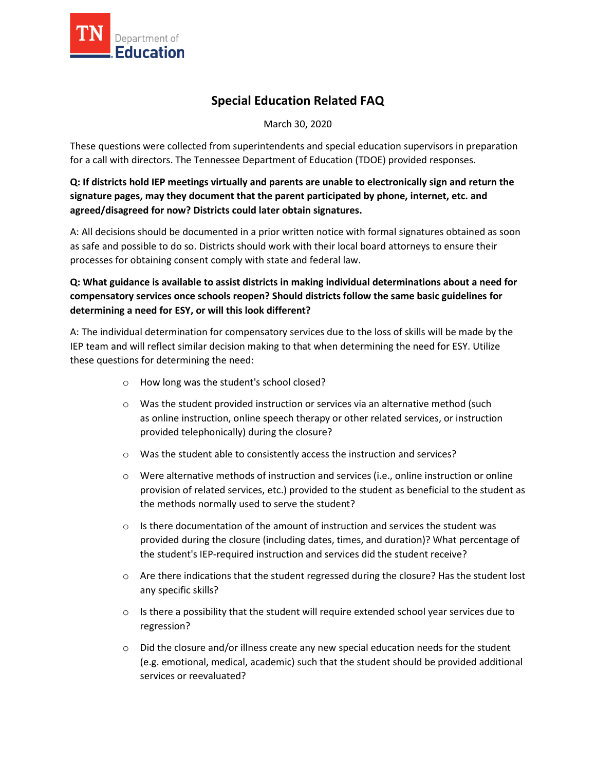

## **Special Education Related FAQ**

March 30, 2020

These questions were collected from superintendents and special education supervisors in preparation for a call with directors. The Tennessee Department of Education (TDOE) provided responses.

## **Q: If districts hold IEP meetings virtually and parents are unable to electronically sign and return the signature pages, may they document that the parent participated by phone, internet, etc. and agreed/disagreed for now? Districts could later obtain signatures.**

A: All decisions should be documented in a prior written notice with formal signatures obtained as soon as safe and possible to do so. Districts should work with their local board attorneys to ensure their processes for obtaining consent comply with state and federal law.

**Q: What guidance is available to assist districts in making individual determinations about a need for compensatory services once schools reopen? Should districts follow the same basic guidelines for determining a need for ESY, or will this look different?**

A: The individual determination for compensatory services due to the loss of skills will be made by the IEP team and will reflect similar decision making to that when determining the need for ESY. Utilize these questions for determining the need:

- o How long was the student's school closed?
- o Was the student provided instruction or services via an alternative method (such as online instruction, online speech therapy or other related services, or instruction provided telephonically) during the closure?
- o Was the student able to consistently access the instruction and services?
- o Were alternative methods of instruction and services (i.e., online instruction or online provision of related services, etc.) provided to the student as beneficial to the student as the methods normally used to serve the student?
- $\circ$  Is there documentation of the amount of instruction and services the student was provided during the closure (including dates, times, and duration)? What percentage of the student's IEP-required instruction and services did the student receive?
- o Are there indications that the student regressed during the closure? Has the student lost any specific skills?
- $\circ$  Is there a possibility that the student will require extended school year services due to regression?
- o Did the closure and/or illness create any new special education needs for the student (e.g. emotional, medical, academic) such that the student should be provided additional services or reevaluated?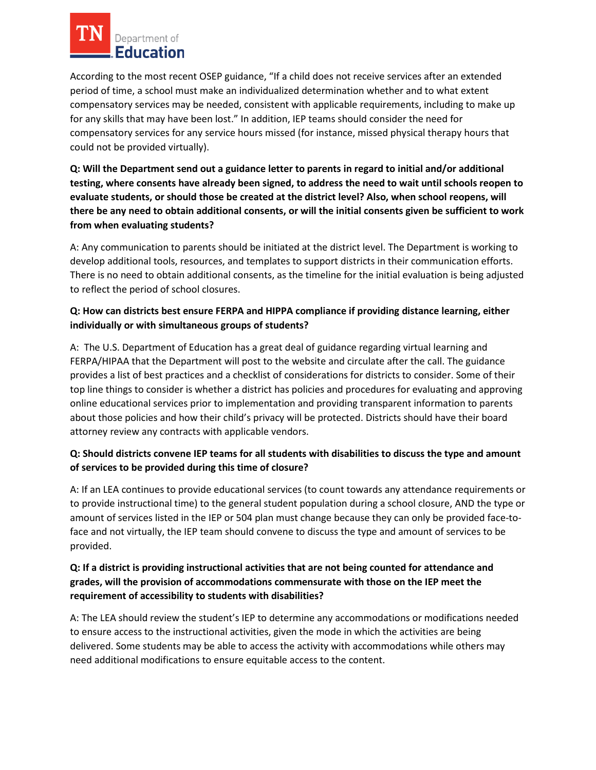# Department of Education

According to the most recent OSEP guidance, "If a child does not receive services after an extended period of time, a school must make an individualized determination whether and to what extent compensatory services may be needed, consistent with applicable requirements, including to make up for any skills that may have been lost." In addition, IEP teams should consider the need for compensatory services for any service hours missed (for instance, missed physical therapy hours that could not be provided virtually).

**Q: Will the Department send out a guidance letter to parents in regard to initial and/or additional testing, where consents have already been signed, to address the need to wait until schools reopen to evaluate students, or should those be created at the district level? Also, when school reopens, will there be any need to obtain additional consents, or will the initial consents given be sufficient to work from when evaluating students?**

A: Any communication to parents should be initiated at the district level. The Department is working to develop additional tools, resources, and templates to support districts in their communication efforts. There is no need to obtain additional consents, as the timeline for the initial evaluation is being adjusted to reflect the period of school closures.

## **Q: How can districts best ensure FERPA and HIPPA compliance if providing distance learning, either individually or with simultaneous groups of students?**

A: The U.S. Department of Education has a great deal of guidance regarding virtual learning and FERPA/HIPAA that the Department will post to the website and circulate after the call. The guidance provides a list of best practices and a checklist of considerations for districts to consider. Some of their top line things to consider is whether a district has policies and procedures for evaluating and approving online educational services prior to implementation and providing transparent information to parents about those policies and how their child's privacy will be protected. Districts should have their board attorney review any contracts with applicable vendors.

## **Q: Should districts convene IEP teams for all students with disabilities to discuss the type and amount of services to be provided during this time of closure?**

A: If an LEA continues to provide educational services (to count towards any attendance requirements or to provide instructional time) to the general student population during a school closure, AND the type or amount of services listed in the IEP or 504 plan must change because they can only be provided face-toface and not virtually, the IEP team should convene to discuss the type and amount of services to be provided.

## **Q: If a district is providing instructional activities that are not being counted for attendance and grades, will the provision of accommodations commensurate with those on the IEP meet the requirement of accessibility to students with disabilities?**

A: The LEA should review the student's IEP to determine any accommodations or modifications needed to ensure access to the instructional activities, given the mode in which the activities are being delivered. Some students may be able to access the activity with accommodations while others may need additional modifications to ensure equitable access to the content.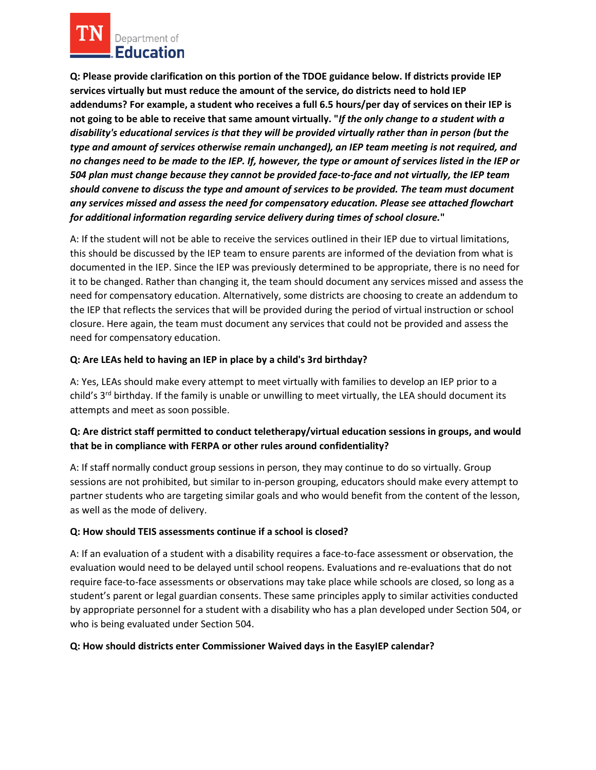

**Q: Please provide clarification on this portion of the TDOE guidance below. If districts provide IEP services virtually but must reduce the amount of the service, do districts need to hold IEP addendums? For example, a student who receives a full 6.5 hours/per day of services on their IEP is not going to be able to receive that same amount virtually. "***If the only change to a student with a disability's educational services is that they will be provided virtually rather than in person (but the type and amount of services otherwise remain unchanged), an IEP team meeting is not required, and no changes need to be made to the IEP. If, however, the type or amount of services listed in the IEP or 504 plan must change because they cannot be provided face-to-face and not virtually, the IEP team should convene to discuss the type and amount of services to be provided. The team must document any services missed and assess the need for compensatory education. Please see attached flowchart for additional information regarding service delivery during times of school closure.***"** 

A: If the student will not be able to receive the services outlined in their IEP due to virtual limitations, this should be discussed by the IEP team to ensure parents are informed of the deviation from what is documented in the IEP. Since the IEP was previously determined to be appropriate, there is no need for it to be changed. Rather than changing it, the team should document any services missed and assess the need for compensatory education. Alternatively, some districts are choosing to create an addendum to the IEP that reflects the services that will be provided during the period of virtual instruction or school closure. Here again, the team must document any services that could not be provided and assess the need for compensatory education.

#### **Q: Are LEAs held to having an IEP in place by a child's 3rd birthday?**

A: Yes, LEAs should make every attempt to meet virtually with families to develop an IEP prior to a child's  $3<sup>rd</sup>$  birthday. If the family is unable or unwilling to meet virtually, the LEA should document its attempts and meet as soon possible.

## **Q: Are district staff permitted to conduct teletherapy/virtual education sessions in groups, and would that be in compliance with FERPA or other rules around confidentiality?**

A: If staff normally conduct group sessions in person, they may continue to do so virtually. Group sessions are not prohibited, but similar to in-person grouping, educators should make every attempt to partner students who are targeting similar goals and who would benefit from the content of the lesson, as well as the mode of delivery.

#### **Q: How should TEIS assessments continue if a school is closed?**

A: If an evaluation of a student with a disability requires a face-to-face assessment or observation, the evaluation would need to be delayed until school reopens. Evaluations and re-evaluations that do not require face-to-face assessments or observations may take place while schools are closed, so long as a student's parent or legal guardian consents. These same principles apply to similar activities conducted by appropriate personnel for a student with a disability who has a plan developed under Section 504, or who is being evaluated under Section 504.

#### **Q: How should districts enter Commissioner Waived days in the EasyIEP calendar?**